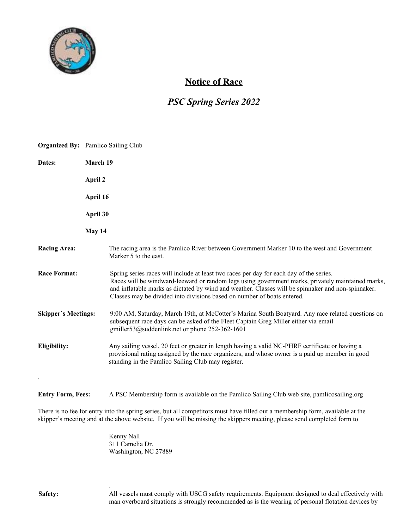

## **Notice of Race**

## *PSC Spring Series 2022*

|                                                  | <b>Organized By:</b> Pamlico Sailing Club                                                                                                                                                                                                                                                                                                                                     |
|--------------------------------------------------|-------------------------------------------------------------------------------------------------------------------------------------------------------------------------------------------------------------------------------------------------------------------------------------------------------------------------------------------------------------------------------|
| Dates:                                           | March 19                                                                                                                                                                                                                                                                                                                                                                      |
|                                                  | April 2                                                                                                                                                                                                                                                                                                                                                                       |
|                                                  | April 16                                                                                                                                                                                                                                                                                                                                                                      |
|                                                  | April 30                                                                                                                                                                                                                                                                                                                                                                      |
|                                                  | May 14                                                                                                                                                                                                                                                                                                                                                                        |
| <b>Racing Area:</b>                              | The racing area is the Pamlico River between Government Marker 10 to the west and Government<br>Marker 5 to the east.                                                                                                                                                                                                                                                         |
| <b>Race Format:</b>                              | Spring series races will include at least two races per day for each day of the series.<br>Races will be windward-leeward or random legs using government marks, privately maintained marks,<br>and inflatable marks as dictated by wind and weather. Classes will be spinnaker and non-spinnaker.<br>Classes may be divided into divisions based on number of boats entered. |
| <b>Skipper's Meetings:</b>                       | 9:00 AM, Saturday, March 19th, at McCotter's Marina South Boatyard. Any race related questions on<br>subsequent race days can be asked of the Fleet Captain Greg Miller either via email<br>gmiller53@suddenlink.net or phone 252-362-1601                                                                                                                                    |
| Eligibility:                                     | Any sailing vessel, 20 feet or greater in length having a valid NC-PHRF certificate or having a<br>provisional rating assigned by the race organizers, and whose owner is a paid up member in good<br>standing in the Pamlico Sailing Club may register.                                                                                                                      |
| $\ddot{\phantom{0}}$<br><b>Entry Form, Fees:</b> | A PSC Membership form is available on the Pamlico Sailing Club web site, pamlicosailing.org                                                                                                                                                                                                                                                                                   |

There is no fee for entry into the spring series, but all competitors must have filled out a membership form, available at the skipper's meeting and at the above website. If you will be missing the skippers meeting, please send completed form to

> Kenny Nall 311 Camelia Dr. Washington, NC 27889

.

**Safety:** All vessels must comply with USCG safety requirements. Equipment designed to deal effectively with man overboard situations is strongly recommended as is the wearing of personal flotation devices by